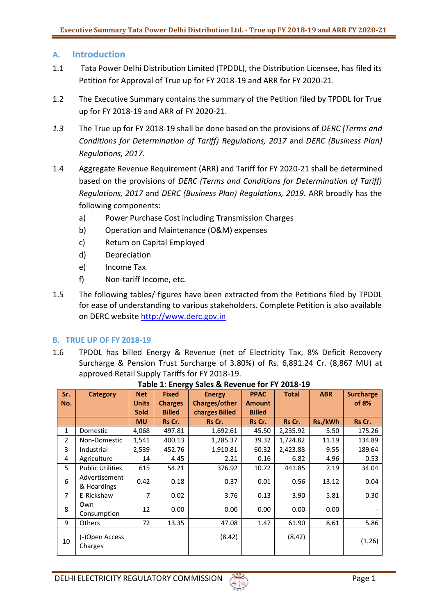# **A. Introduction**

- 1.1 Tata Power Delhi Distribution Limited (TPDDL), the Distribution Licensee, has filed its Petition for Approval of True up for FY 2018-19 and ARR for FY 2020-21.
- 1.2 The Executive Summary contains the summary of the Petition filed by TPDDL for True up for FY 2018-19 and ARR of FY 2020-21.
- *1.3* The True up for FY 2018-19 shall be done based on the provisions of *DERC (Terms and Conditions for Determination of Tariff) Regulations, 2017* and *DERC (Business Plan) Regulations, 2017.*
- 1.4 Aggregate Revenue Requirement (ARR) and Tariff for FY 2020-21 shall be determined based on the provisions of *DERC (Terms and Conditions for Determination of Tariff) Regulations, 2017* and *DERC (Business Plan) Regulations, 2019.* ARR broadly has the following components:
	- a) Power Purchase Cost including Transmission Charges
	- b) Operation and Maintenance (O&M) expenses
	- c) Return on Capital Employed
	- d) Depreciation
	- e) Income Tax
	- f) Non-tariff Income, etc.
- 1.5 The following tables/ figures have been extracted from the Petitions filed by TPDDL for ease of understanding to various stakeholders. Complete Petition is also available on DERC website [http://www.derc.gov.in](http://www.derc.gov.in/)

# **B. TRUE UP OF FY 2018-19**

1.6 TPDDL has billed Energy & Revenue (net of Electricity Tax, 8% Deficit Recovery Surcharge & Pension Trust Surcharge of 3.80%) of Rs. 6,891.24 Cr. (8,867 MU) at approved Retail Supply Tariffs for FY 2018-19.

| Sr.            | <b>Category</b>         | <b>Net</b>     | <b>Fixed</b>   | .,<br><b>Energy</b> | <b>PPAC</b>   | <b>Total</b> | <b>ABR</b> | <b>Surcharge</b> |
|----------------|-------------------------|----------------|----------------|---------------------|---------------|--------------|------------|------------------|
| No.            |                         | <b>Units</b>   | <b>Charges</b> | Charges/other       | <b>Amount</b> |              |            | of 8%            |
|                |                         | <b>Sold</b>    | <b>Billed</b>  | charges Billed      | <b>Billed</b> |              |            |                  |
|                |                         | <b>MU</b>      | Rs Cr.         | Rs Cr.              | Rs Cr.        | Rs Cr.       | Rs./kWh    | Rs Cr.           |
| 1              | <b>Domestic</b>         | 4,068          | 497.81         | 1,692.61            | 45.50         | 2,235.92     | 5.50       | 175.26           |
| $\overline{2}$ | Non-Domestic            | 1,541          | 400.13         | 1,285.37            | 39.32         | 1,724.82     | 11.19      | 134.89           |
| 3              | Industrial              | 2,539          | 452.76         | 1,910.81            | 60.32         | 2,423.88     | 9.55       | 189.64           |
| 4              | Agriculture             | 14             | 4.45           | 2.21                | 0.16          | 6.82         | 4.96       | 0.53             |
| 5              | <b>Public Utilities</b> | 615            | 54.21          | 376.92              | 10.72         | 441.85       | 7.19       | 34.04            |
| 6              | Advertisement           | 0.42           | 0.18           | 0.37                | 0.01          | 0.56         | 13.12      | 0.04             |
|                | & Hoardings             |                |                |                     |               |              |            |                  |
| $\overline{7}$ | E-Rickshaw              | $\overline{7}$ | 0.02           | 3.76                | 0.13          | 3.90         | 5.81       | 0.30             |
| 8              | Own                     | 12             | 0.00           | 0.00                | 0.00          | 0.00         | 0.00       |                  |
|                | Consumption             |                |                |                     |               |              |            |                  |
| 9              | Others                  | 72             | 13.35          | 47.08               | 1.47          | 61.90        | 8.61       | 5.86             |
|                | (-)Open Access          |                |                | (8.42)              |               | (8.42)       |            |                  |
| 10             | Charges                 |                |                |                     |               |              |            | (1.26)           |
|                |                         |                |                |                     |               |              |            |                  |

# **Table 1: Energy Sales & Revenue for FY 2018-19**

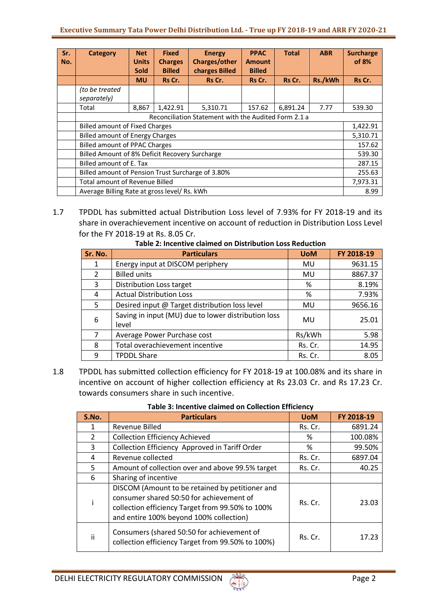| Sr.<br>No. | Category                                             | <b>Net</b><br><b>Units</b> | <b>Fixed</b><br><b>Charges</b> | <b>Energy</b><br>Charges/other | <b>PPAC</b><br><b>Amount</b> | <b>Total</b> | <b>ABR</b> | <b>Surcharge</b><br>of 8% |
|------------|------------------------------------------------------|----------------------------|--------------------------------|--------------------------------|------------------------------|--------------|------------|---------------------------|
|            |                                                      | <b>Sold</b><br><b>MU</b>   | <b>Billed</b><br>Rs Cr.        | charges Billed<br>Rs Cr.       | <b>Billed</b><br>Rs Cr.      | Rs Cr.       | Rs./kWh    | Rs Cr.                    |
|            | (to be treated<br>separately)                        |                            |                                |                                |                              |              |            |                           |
|            | Total                                                | 8,867                      | 1,422.91                       | 5,310.71                       | 157.62                       | 6,891.24     | 7.77       | 539.30                    |
|            | Reconciliation Statement with the Audited Form 2.1 a |                            |                                |                                |                              |              |            |                           |
|            | <b>Billed amount of Fixed Charges</b>                |                            |                                |                                |                              |              |            | 1,422.91                  |
|            | <b>Billed amount of Energy Charges</b>               |                            |                                |                                |                              |              |            | 5,310.71                  |
|            | <b>Billed amount of PPAC Charges</b>                 |                            |                                |                                |                              |              |            | 157.62                    |
|            | Billed Amount of 8% Deficit Recovery Surcharge       |                            |                                |                                |                              |              | 539.30     |                           |
|            | Billed amount of E. Tax                              |                            |                                |                                |                              |              | 287.15     |                           |
|            | Billed amount of Pension Trust Surcharge of 3.80%    |                            |                                |                                |                              |              | 255.63     |                           |
|            | <b>Total amount of Revenue Billed</b>                |                            |                                |                                |                              |              |            | 7,973.31                  |
|            | Average Billing Rate at gross level/ Rs. kWh         |                            |                                |                                |                              |              |            | 8.99                      |

1.7 TPDDL has submitted actual Distribution Loss level of 7.93% for FY 2018-19 and its share in overachievement incentive on account of reduction in Distribution Loss Level for the FY 2018-19 at Rs. 8.05 Cr.

| Sr. No.        | <b>Particulars</b>                                           | <b>UoM</b> | FY 2018-19 |
|----------------|--------------------------------------------------------------|------------|------------|
| 1              | Energy input at DISCOM periphery                             | MU         | 9631.15    |
| $\overline{2}$ | <b>Billed units</b>                                          | MU         | 8867.37    |
| 3              | Distribution Loss target                                     | %          | 8.19%      |
| 4              | <b>Actual Distribution Loss</b>                              | %          | 7.93%      |
| 5              | Desired input @ Target distribution loss level               | MU         | 9656.16    |
| 6              | Saving in input (MU) due to lower distribution loss<br>level | MU         | 25.01      |
| 7              | Average Power Purchase cost                                  | Rs/kWh     | 5.98       |
| 8              | Total overachievement incentive                              | Rs. Cr.    | 14.95      |
| 9              | <b>TPDDL Share</b>                                           | Rs. Cr.    | 8.05       |

**Table 2: Incentive claimed on Distribution Loss Reduction**

1.8 TPDDL has submitted collection efficiency for FY 2018-19 at 100.08% and its share in incentive on account of higher collection efficiency at Rs 23.03 Cr. and Rs 17.23 Cr. towards consumers share in such incentive.

| S.No.         | <b>Particulars</b>                                                                                                                                                                         | <b>UoM</b> | FY 2018-19 |  |  |  |
|---------------|--------------------------------------------------------------------------------------------------------------------------------------------------------------------------------------------|------------|------------|--|--|--|
|               | Revenue Billed                                                                                                                                                                             | Rs. Cr.    | 6891.24    |  |  |  |
| $\mathcal{P}$ | <b>Collection Efficiency Achieved</b>                                                                                                                                                      | %          | 100.08%    |  |  |  |
| 3             | Collection Efficiency Approved in Tariff Order                                                                                                                                             | %          | 99.50%     |  |  |  |
| 4             | Revenue collected                                                                                                                                                                          | Rs. Cr.    | 6897.04    |  |  |  |
| 5             | Amount of collection over and above 99.5% target                                                                                                                                           | Rs. Cr.    | 40.25      |  |  |  |
| 6             | Sharing of incentive                                                                                                                                                                       |            |            |  |  |  |
|               | DISCOM (Amount to be retained by petitioner and<br>consumer shared 50:50 for achievement of<br>collection efficiency Target from 99.50% to 100%<br>and entire 100% beyond 100% collection) | Rs. Cr.    | 23.03      |  |  |  |
| ii            | Consumers (shared 50:50 for achievement of<br>collection efficiency Target from 99.50% to 100%)                                                                                            | Rs. Cr.    | 17.23      |  |  |  |

| Table 3: Incentive claimed on Collection Efficiency |  |
|-----------------------------------------------------|--|
|-----------------------------------------------------|--|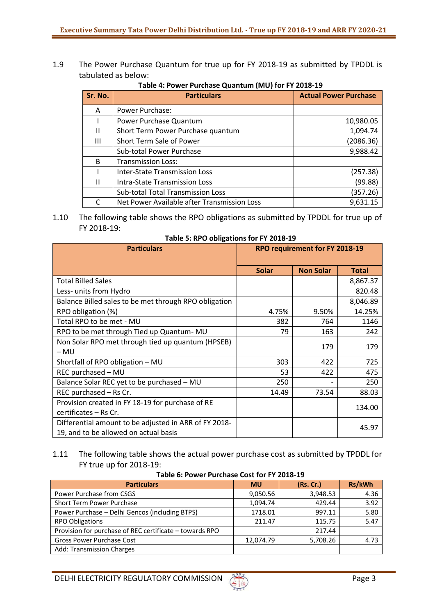1.9 The Power Purchase Quantum for true up for FY 2018-19 as submitted by TPDDL is tabulated as below:

| Sr. No.      | <b>Particulars</b>                          | <b>Actual Power Purchase</b> |
|--------------|---------------------------------------------|------------------------------|
| A            | Power Purchase:                             |                              |
|              | Power Purchase Quantum                      | 10,980.05                    |
| Ш            | Short Term Power Purchase quantum           | 1,094.74                     |
| Ш            | Short Term Sale of Power                    | (2086.36)                    |
|              | Sub-total Power Purchase                    | 9,988.42                     |
| R.           | <b>Transmission Loss:</b>                   |                              |
|              | <b>Inter-State Transmission Loss</b>        | (257.38)                     |
| $\mathbf{H}$ | <b>Intra-State Transmission Loss</b>        | (99.88)                      |
|              | <b>Sub-total Total Transmission Loss</b>    | (357.26)                     |
|              | Net Power Available after Transmission Loss | 9,631.15                     |

**Table 4: Power Purchase Quantum (MU) for FY 2018-19** 

### 1.10 The following table shows the RPO obligations as submitted by TPDDL for true up of FY 2018-19:

**Table 5: RPO obligations for FY 2018-19**

| <b>Particulars</b>                                                                             | RPO requirement for FY 2018-19 |                  |              |
|------------------------------------------------------------------------------------------------|--------------------------------|------------------|--------------|
|                                                                                                | <b>Solar</b>                   | <b>Non Solar</b> | <b>Total</b> |
| <b>Total Billed Sales</b>                                                                      |                                |                  | 8,867.37     |
| Less- units from Hydro                                                                         |                                |                  | 820.48       |
| Balance Billed sales to be met through RPO obligation                                          |                                |                  | 8,046.89     |
| RPO obligation (%)                                                                             | 4.75%                          | 9.50%            | 14.25%       |
| Total RPO to be met - MU                                                                       | 382                            | 764              | 1146         |
| RPO to be met through Tied up Quantum-MU                                                       | 79                             | 163              | 242          |
| Non Solar RPO met through tied up quantum (HPSEB)<br>– MU                                      |                                | 179              | 179          |
| Shortfall of RPO obligation - MU                                                               | 303                            | 422              | 725          |
| REC purchased - MU                                                                             | 53                             | 422              | 475          |
| Balance Solar REC yet to be purchased - MU                                                     | 250                            |                  | 250          |
| REC purchased - Rs Cr.                                                                         | 14.49                          | 73.54            | 88.03        |
| Provision created in FY 18-19 for purchase of RE<br>certificates - Rs Cr.                      |                                |                  | 134.00       |
| Differential amount to be adjusted in ARR of FY 2018-<br>19, and to be allowed on actual basis |                                |                  | 45.97        |

# 1.11 The following table shows the actual power purchase cost as submitted by TPDDL for FY true up for 2018-19:

| <b>Particulars</b>                                      | <b>MU</b> | (Rs. Cr.) | Rs/kWh |  |  |
|---------------------------------------------------------|-----------|-----------|--------|--|--|
| Power Purchase from CSGS                                | 9,050.56  | 3,948.53  | 4.36   |  |  |
| Short Term Power Purchase                               | 1,094.74  | 429.44    | 3.92   |  |  |
| Power Purchase - Delhi Gencos (including BTPS)          | 1718.01   | 997.11    | 5.80   |  |  |
| <b>RPO Obligations</b>                                  | 211.47    | 115.75    | 5.47   |  |  |
| Provision for purchase of REC certificate - towards RPO |           | 217.44    |        |  |  |
| <b>Gross Power Purchase Cost</b>                        | 12,074.79 | 5,708.26  | 4.73   |  |  |
| Add: Transmission Charges                               |           |           |        |  |  |

#### **Table 6: Power Purchase Cost for FY 2018-19**

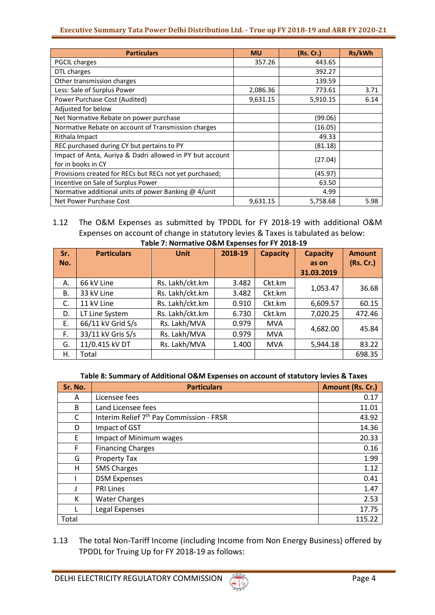| <b>Particulars</b>                                                             | <b>MU</b> | (Rs. Cr.) | Rs/kWh |
|--------------------------------------------------------------------------------|-----------|-----------|--------|
| <b>PGCIL charges</b>                                                           | 357.26    | 443.65    |        |
| DTL charges                                                                    |           | 392.27    |        |
| Other transmission charges                                                     |           | 139.59    |        |
| Less: Sale of Surplus Power                                                    | 2,086.36  | 773.61    | 3.71   |
| Power Purchase Cost (Audited)                                                  | 9,631.15  | 5,910.15  | 6.14   |
| Adjusted for below                                                             |           |           |        |
| Net Normative Rebate on power purchase                                         |           | (99.06)   |        |
| Normative Rebate on account of Transmission charges                            |           | (16.05)   |        |
| Rithala Impact                                                                 |           | 49.33     |        |
| REC purchased during CY but pertains to PY                                     |           | (81.18)   |        |
| Impact of Anta, Auriya & Dadri allowed in PY but account<br>for in books in CY |           | (27.04)   |        |
| Provisions created for RECs but RECs not yet purchased;                        |           | (45.97)   |        |
| Incentive on Sale of Surplus Power                                             |           | 63.50     |        |
| Normative additional units of power Banking @ 4/unit                           |           | 4.99      |        |
| Net Power Purchase Cost                                                        | 9,631.15  | 5,758.68  | 5.98   |

### 1.12 The O&M Expenses as submitted by TPDDL for FY 2018-19 with additional O&M Expenses on account of change in statutory levies & Taxes is tabulated as below: **Table 7: Normative O&M Expenses for FY 2018-19**

| Sr. | <b>Particulars</b> | <b>Unit</b>     | 2018-19 | <b>Capacity</b> | <b>Capacity</b> | <b>Amount</b> |
|-----|--------------------|-----------------|---------|-----------------|-----------------|---------------|
| No. |                    |                 |         |                 | as on           | (Rs. Cr.)     |
|     |                    |                 |         |                 | 31.03.2019      |               |
| Α.  | 66 kV Line         | Rs. Lakh/ckt.km | 3.482   | Ckt.km          | 1,053.47        | 36.68         |
| В.  | 33 kV Line         | Rs. Lakh/ckt.km | 3.482   | Ckt.km          |                 |               |
| C.  | 11 kV Line         | Rs. Lakh/ckt.km | 0.910   | Ckt.km          | 6,609.57        | 60.15         |
| D.  | LT Line System     | Rs. Lakh/ckt.km | 6.730   | Ckt.km          | 7,020.25        | 472.46        |
| Е.  | 66/11 kV Grid S/s  | Rs. Lakh/MVA    | 0.979   | <b>MVA</b>      | 4,682.00        | 45.84         |
| F.  | 33/11 kV Gris S/s  | Rs. Lakh/MVA    | 0.979   | <b>MVA</b>      |                 |               |
| G.  | 11/0.415 kV DT     | Rs. Lakh/MVA    | 1.400   | <b>MVA</b>      | 5,944.18        | 83.22         |
| Η.  | Total              |                 |         |                 |                 | 698.35        |

### **Table 8: Summary of Additional O&M Expenses on account of statutory levies & Taxes**

| Sr. No. | <b>Particulars</b>                                   | Amount (Rs. Cr.) |
|---------|------------------------------------------------------|------------------|
| A       | Licensee fees                                        | 0.17             |
| B       | Land Licensee fees                                   | 11.01            |
| C       | Interim Relief 7 <sup>th</sup> Pay Commission - FRSR | 43.92            |
| D       | Impact of GST                                        | 14.36            |
| E       | <b>Impact of Minimum wages</b>                       | 20.33            |
| F       | <b>Financing Charges</b>                             | 0.16             |
| G       | <b>Property Tax</b>                                  | 1.99             |
| н       | <b>SMS Charges</b>                                   | 1.12             |
|         | <b>DSM Expenses</b>                                  | 0.41             |
|         | <b>PRI Lines</b>                                     | 1.47             |
| К       | <b>Water Charges</b>                                 | 2.53             |
|         | Legal Expenses                                       | 17.75            |
| Total   |                                                      | 115.22           |

1.13 The total Non-Tariff Income (including Income from Non Energy Business) offered by TPDDL for Truing Up for FY 2018-19 as follows: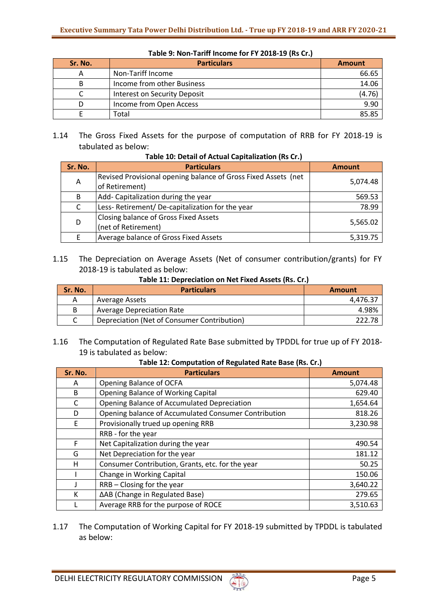| Sr. No. | <b>Particulars</b>           | <b>Amount</b> |
|---------|------------------------------|---------------|
| А       | Non-Tariff Income            | 66.65         |
| В       | Income from other Business   | 14.06         |
|         | Interest on Security Deposit | (4.76)        |
|         | Income from Open Access      | 9.90          |
|         | Total                        | 85.85         |

**Table 9: Non-Tariff Income for FY 2018-19 (Rs Cr.)**

1.14 The Gross Fixed Assets for the purpose of computation of RRB for FY 2018-19 is tabulated as below:

| Sr. No. | <b>Particulars</b>                                                               | <b>Amount</b> |  |  |  |
|---------|----------------------------------------------------------------------------------|---------------|--|--|--|
| A       | Revised Provisional opening balance of Gross Fixed Assets (net<br>of Retirement) | 5,074.48      |  |  |  |
| B       | Add- Capitalization during the year                                              | 569.53        |  |  |  |
| C       | Less-Retirement/De-capitalization for the year                                   | 78.99         |  |  |  |
| D       | Closing balance of Gross Fixed Assets<br>(net of Retirement)                     | 5,565.02      |  |  |  |
| E       | Average balance of Gross Fixed Assets                                            | 5,319.75      |  |  |  |

**Table 10: Detail of Actual Capitalization (Rs Cr.)**

1.15 The Depreciation on Average Assets (Net of consumer contribution/grants) for FY 2018-19 is tabulated as below:

**Table 11: Depreciation on Net Fixed Assets (Rs. Cr.)**

| Sr. No. | <b>Particulars</b>                          | <b>Amount</b> |
|---------|---------------------------------------------|---------------|
| A       | Average Assets                              | 4.476.37      |
| B       | <b>Average Depreciation Rate</b>            | 4.98%         |
|         | Depreciation (Net of Consumer Contribution) | 222.78        |

1.16 The Computation of Regulated Rate Base submitted by TPDDL for true up of FY 2018- 19 is tabulated as below:

#### **Table 12: Computation of Regulated Rate Base (Rs. Cr.)**

| Sr. No. | <b>Particulars</b>                                   | <b>Amount</b> |
|---------|------------------------------------------------------|---------------|
| A       | Opening Balance of OCFA                              | 5,074.48      |
| B       | Opening Balance of Working Capital                   | 629.40        |
| C       | Opening Balance of Accumulated Depreciation          | 1,654.64      |
| D       | Opening balance of Accumulated Consumer Contribution | 818.26        |
| E       | Provisionally trued up opening RRB                   | 3,230.98      |
|         | RRB - for the year                                   |               |
| F       | Net Capitalization during the year                   | 490.54        |
| G       | Net Depreciation for the year                        | 181.12        |
| н       | Consumer Contribution, Grants, etc. for the year     | 50.25         |
|         | Change in Working Capital                            | 150.06        |
|         | RRB - Closing for the year                           | 3,640.22      |
| к       | ∆AB (Change in Regulated Base)                       | 279.65        |
|         | Average RRB for the purpose of ROCE                  | 3,510.63      |

1.17 The Computation of Working Capital for FY 2018-19 submitted by TPDDL is tabulated as below: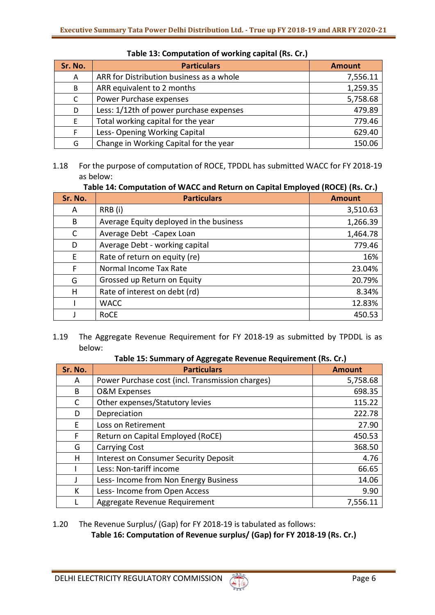| Sr. No. | <b>Particulars</b>                       | <b>Amount</b> |
|---------|------------------------------------------|---------------|
| A       | ARR for Distribution business as a whole | 7,556.11      |
| B       | ARR equivalent to 2 months               | 1,259.35      |
| C       | Power Purchase expenses                  | 5,758.68      |
| D       | Less: 1/12th of power purchase expenses  | 479.89        |
| F       | Total working capital for the year       | 779.46        |
|         | Less-Opening Working Capital             | 629.40        |
| G       | Change in Working Capital for the year   | 150.06        |

## **Table 13: Computation of working capital (Rs. Cr.)**

1.18 For the purpose of computation of ROCE, TPDDL has submitted WACC for FY 2018-19 as below:

# **Table 14: Computation of WACC and Return on Capital Employed (ROCE) (Rs. Cr.)**

| Sr. No.      | <b>Particulars</b>                      | <b>Amount</b> |
|--------------|-----------------------------------------|---------------|
| A            | RRB (i)                                 | 3,510.63      |
| B            | Average Equity deployed in the business | 1,266.39      |
| $\mathsf{C}$ | Average Debt - Capex Loan               | 1,464.78      |
| D            | Average Debt - working capital          | 779.46        |
| E            | Rate of return on equity (re)           | 16%           |
| F            | Normal Income Tax Rate                  | 23.04%        |
| G            | Grossed up Return on Equity             | 20.79%        |
| H            | Rate of interest on debt (rd)           | 8.34%         |
|              | <b>WACC</b>                             | 12.83%        |
|              | <b>RoCE</b>                             | 450.53        |

## 1.19 The Aggregate Revenue Requirement for FY 2018-19 as submitted by TPDDL is as below:

**Table 15: Summary of Aggregate Revenue Requirement (Rs. Cr.)**

| Sr. No. | <b>Particulars</b>                               | <b>Amount</b> |
|---------|--------------------------------------------------|---------------|
| A       | Power Purchase cost (incl. Transmission charges) | 5,758.68      |
| B       | <b>O&amp;M Expenses</b>                          | 698.35        |
| C       | Other expenses/Statutory levies                  | 115.22        |
| D       | Depreciation                                     | 222.78        |
| F       | Loss on Retirement                               | 27.90         |
| F       | Return on Capital Employed (RoCE)                | 450.53        |
| G       | <b>Carrying Cost</b>                             | 368.50        |
| н       | <b>Interest on Consumer Security Deposit</b>     | 4.76          |
|         | Less: Non-tariff income                          | 66.65         |
| J       | Less-Income from Non Energy Business             | 14.06         |
| K       | Less- Income from Open Access                    | 9.90          |
|         | Aggregate Revenue Requirement                    | 7,556.11      |

# 1.20 The Revenue Surplus/ (Gap) for FY 2018-19 is tabulated as follows:

**Table 16: Computation of Revenue surplus/ (Gap) for FY 2018-19 (Rs. Cr.)**

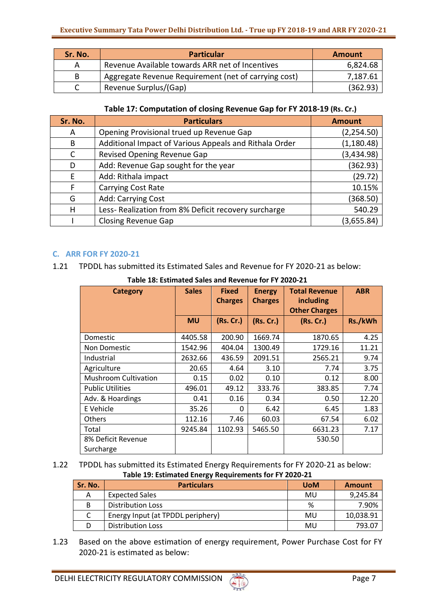| Sr. No. | <b>Particular</b>                                    | Amount   |
|---------|------------------------------------------------------|----------|
| А       | Revenue Available towards ARR net of Incentives      | 6,824.68 |
| B       | Aggregate Revenue Requirement (net of carrying cost) | 7,187.61 |
|         | Revenue Surplus/(Gap)                                | (362.93) |

## **Table 17: Computation of closing Revenue Gap for FY 2018-19 (Rs. Cr.)**

| Sr. No. | <b>Particulars</b>                                     | <b>Amount</b> |
|---------|--------------------------------------------------------|---------------|
| A       | Opening Provisional trued up Revenue Gap               | (2, 254.50)   |
| B       | Additional Impact of Various Appeals and Rithala Order | (1, 180.48)   |
| C       | Revised Opening Revenue Gap                            | (3,434.98)    |
| D       | Add: Revenue Gap sought for the year                   | (362.93)      |
| E       | Add: Rithala impact                                    | (29.72)       |
| F       | Carrying Cost Rate                                     | 10.15%        |
| G       | Add: Carrying Cost                                     | (368.50)      |
| н       | Less-Realization from 8% Deficit recovery surcharge    | 540.29        |
|         | <b>Closing Revenue Gap</b>                             | (3,655.84)    |

# **C. ARR FOR FY 2020-21**

1.21 TPDDL has submitted its Estimated Sales and Revenue for FY 2020-21 as below:

| <b>Category</b>             | <b>Sales</b> | <b>Fixed</b><br><b>Charges</b> | <b>Energy</b><br><b>Charges</b> | <b>Total Revenue</b><br>including<br><b>Other Charges</b> | <b>ABR</b> |  |  |
|-----------------------------|--------------|--------------------------------|---------------------------------|-----------------------------------------------------------|------------|--|--|
|                             | <b>MU</b>    | (Rs. Cr.)                      | (Rs.Cr.)                        | (Rs. Cr.)                                                 | Rs./kWh    |  |  |
| <b>Domestic</b>             | 4405.58      | 200.90                         | 1669.74                         | 1870.65                                                   | 4.25       |  |  |
| <b>Non Domestic</b>         | 1542.96      | 404.04                         | 1300.49                         | 1729.16                                                   | 11.21      |  |  |
| Industrial                  | 2632.66      | 436.59                         | 2091.51                         | 2565.21                                                   | 9.74       |  |  |
| Agriculture                 | 20.65        | 4.64                           | 3.10                            | 7.74                                                      | 3.75       |  |  |
| <b>Mushroom Cultivation</b> | 0.15         | 0.02                           | 0.10                            | 0.12                                                      | 8.00       |  |  |
| <b>Public Utilities</b>     | 496.01       | 49.12                          | 333.76                          | 383.85                                                    | 7.74       |  |  |
| Adv. & Hoardings            | 0.41         | 0.16                           | 0.34                            | 0.50                                                      | 12.20      |  |  |
| E Vehicle                   | 35.26        | 0                              | 6.42                            | 6.45                                                      | 1.83       |  |  |
| <b>Others</b>               | 112.16       | 7.46                           | 60.03                           | 67.54                                                     | 6.02       |  |  |
| Total                       | 9245.84      | 1102.93                        | 5465.50                         | 6631.23                                                   | 7.17       |  |  |
| 8% Deficit Revenue          |              |                                |                                 | 530.50                                                    |            |  |  |
| Surcharge                   |              |                                |                                 |                                                           |            |  |  |

**Table 18: Estimated Sales and Revenue for FY 2020-21**

1.22 TPDDL has submitted its Estimated Energy Requirements for FY 2020-21 as below: **Table 19: Estimated Energy Requirements for FY 2020-21**

| Sr. No. | <b>Particulars</b>                | <b>UoM</b> | <b>Amount</b> |
|---------|-----------------------------------|------------|---------------|
| А       | <b>Expected Sales</b>             | MU         | 9,245.84      |
| B       | <b>Distribution Loss</b>          | %          | 7.90%         |
|         | Energy Input (at TPDDL periphery) | MU         | 10,038.91     |
|         | <b>Distribution Loss</b>          | MU         | 793.07        |

1.23 Based on the above estimation of energy requirement, Power Purchase Cost for FY 2020-21 is estimated as below: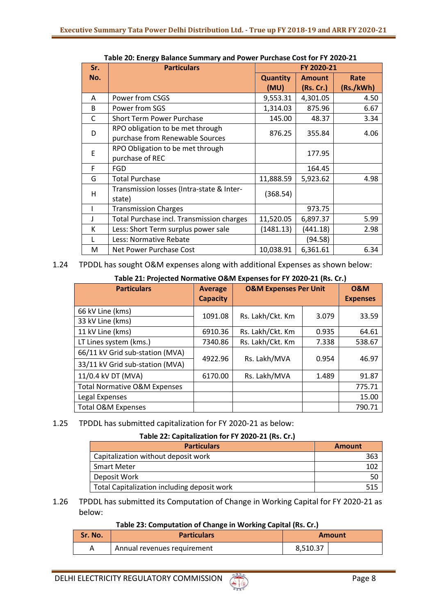| Sr.          | <b>Particulars</b>                                                  | FY 2020-21              |                            |                   |
|--------------|---------------------------------------------------------------------|-------------------------|----------------------------|-------------------|
| No.          |                                                                     | <b>Quantity</b><br>(MU) | <b>Amount</b><br>(Rs. Cr.) | Rate<br>(Rs./kWh) |
| A            | Power from CSGS                                                     | 9,553.31                | 4,301.05                   | 4.50              |
| B            | Power from SGS                                                      | 1,314.03                | 875.96                     | 6.67              |
| $\mathsf{C}$ | <b>Short Term Power Purchase</b>                                    | 145.00                  | 48.37                      | 3.34              |
| D            | RPO obligation to be met through<br>purchase from Renewable Sources | 876.25                  | 355.84                     | 4.06              |
| E            | RPO Obligation to be met through<br>purchase of REC                 |                         | 177.95                     |                   |
| F            | <b>FGD</b>                                                          |                         | 164.45                     |                   |
| G            | <b>Total Purchase</b>                                               | 11,888.59               | 5,923.62                   | 4.98              |
| H            | Transmission losses (Intra-state & Inter-<br>state)                 | (368.54)                |                            |                   |
|              | <b>Transmission Charges</b>                                         |                         | 973.75                     |                   |
| J            | Total Purchase incl. Transmission charges                           | 11,520.05               | 6,897.37                   | 5.99              |
| К            | Less: Short Term surplus power sale                                 | (1481.13)               | (441.18)                   | 2.98              |
| L            | Less: Normative Rebate                                              |                         | (94.58)                    |                   |
| M            | Net Power Purchase Cost                                             | 10,038.91               | 6,361.61                   | 6.34              |

**Table 20: Energy Balance Summary and Power Purchase Cost for FY 2020-21**

1.24 TPDDL has sought O&M expenses along with additional Expenses as shown below:

## **Table 21: Projected Normative O&M Expenses for FY 2020-21 (Rs. Cr.)**

| <b>Particulars</b>                      | <b>Average</b><br><b>Capacity</b> | <b>O&amp;M Expenses Per Unit</b> |       | <b>O&amp;M</b><br><b>Expenses</b> |
|-----------------------------------------|-----------------------------------|----------------------------------|-------|-----------------------------------|
| 66 kV Line (kms)                        |                                   |                                  |       |                                   |
| 33 kV Line (kms)                        | 1091.08                           | Rs. Lakh/Ckt. Km                 | 3.079 | 33.59                             |
| 11 kV Line (kms)                        | 6910.36                           | Rs. Lakh/Ckt. Km                 | 0.935 | 64.61                             |
| LT Lines system (kms.)                  | 7340.86                           | Rs. Lakh/Ckt. Km                 | 7.338 | 538.67                            |
| 66/11 kV Grid sub-station (MVA)         | 4922.96                           | Rs. Lakh/MVA                     | 0.954 | 46.97                             |
| 33/11 kV Grid sub-station (MVA)         |                                   |                                  |       |                                   |
| 11/0.4 kV DT (MVA)                      | 6170.00                           | Rs. Lakh/MVA                     | 1.489 | 91.87                             |
| <b>Total Normative O&amp;M Expenses</b> |                                   |                                  |       | 775.71                            |
| Legal Expenses                          |                                   |                                  |       | 15.00                             |
| <b>Total O&amp;M Expenses</b>           |                                   |                                  |       | 790.71                            |

# 1.25 TPDDL has submitted capitalization for FY 2020-21 as below:

# **Table 22: Capitalization for FY 2020-21 (Rs. Cr.)**

| <b>Particulars</b>                          | <b>Amount</b> |
|---------------------------------------------|---------------|
| Capitalization without deposit work         | 36:           |
| <b>Smart Meter</b>                          |               |
| Deposit Work                                | 50            |
| Total Capitalization including deposit work |               |

## 1.26 TPDDL has submitted its Computation of Change in Working Capital for FY 2020-21 as below:

### **Table 23: Computation of Change in Working Capital (Rs. Cr.)**

| Sr. No. | <b>Particulars</b>          |          | Amount |
|---------|-----------------------------|----------|--------|
|         | Annual revenues requirement | 8.510.37 |        |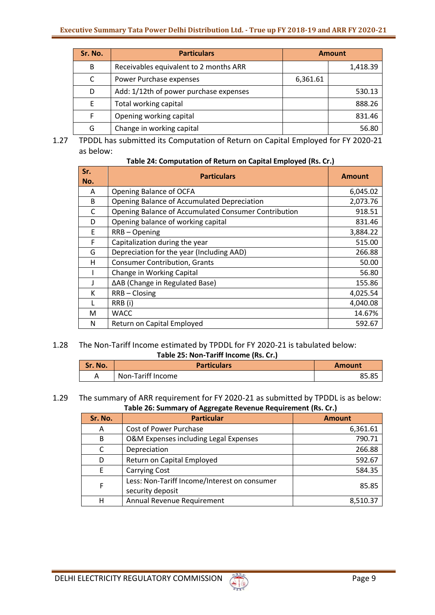| Sr. No. | <b>Particulars</b>                     | <b>Amount</b> |          |
|---------|----------------------------------------|---------------|----------|
| B       | Receivables equivalent to 2 months ARR |               | 1,418.39 |
| C       | Power Purchase expenses                | 6,361.61      |          |
| D       | Add: 1/12th of power purchase expenses |               | 530.13   |
| E       | Total working capital                  |               | 888.26   |
| F       | Opening working capital                |               | 831.46   |
| G       | Change in working capital              |               | 56.80    |

1.27 TPDDL has submitted its Computation of Return on Capital Employed for FY 2020-21 as below:

| Table 24: Computation of Return on Capital Employed (Rs. Cr.) |  |  |  |
|---------------------------------------------------------------|--|--|--|
|---------------------------------------------------------------|--|--|--|

| Sr.<br>No. | <b>Particulars</b>                                   | <b>Amount</b> |
|------------|------------------------------------------------------|---------------|
| A          | Opening Balance of OCFA                              | 6,045.02      |
| B          | Opening Balance of Accumulated Depreciation          | 2,073.76      |
| C          | Opening Balance of Accumulated Consumer Contribution | 918.51        |
| D          | Opening balance of working capital                   | 831.46        |
| E          | RRB-Opening                                          | 3,884.22      |
| F          | Capitalization during the year                       | 515.00        |
| G          | Depreciation for the year (Including AAD)            | 266.88        |
| н          | <b>Consumer Contribution, Grants</b>                 | 50.00         |
|            | Change in Working Capital                            | 56.80         |
|            | ∆AB (Change in Regulated Base)                       | 155.86        |
| К          | RRB-Closing                                          | 4,025.54      |
|            | RRB (i)                                              | 4,040.08      |
| М          | <b>WACC</b>                                          | 14.67%        |
| N          | Return on Capital Employed                           | 592.67        |

### 1.28 The Non-Tariff Income estimated by TPDDL for FY 2020-21 is tabulated below: **Table 25: Non-Tariff Income (Rs. Cr.)**

| Sr. No. | <b>Particulars</b> | <b>Amount</b> |
|---------|--------------------|---------------|
|         | Non-Tariff Income  | ог ог         |

### 1.29 The summary of ARR requirement for FY 2020-21 as submitted by TPDDL is as below: **Table 26: Summary of Aggregate Revenue Requirement (Rs. Cr.)**

| Sr. No. | <b>Particular</b>                                                | <b>Amount</b> |
|---------|------------------------------------------------------------------|---------------|
| A       | Cost of Power Purchase                                           | 6,361.61      |
| B       | O&M Expenses including Legal Expenses                            | 790.71        |
| C       | Depreciation                                                     | 266.88        |
| D       | Return on Capital Employed                                       | 592.67        |
| F       | <b>Carrying Cost</b>                                             | 584.35        |
| F       | Less: Non-Tariff Income/Interest on consumer<br>security deposit | 85.85         |
| н       | Annual Revenue Requirement                                       | 8,510.37      |